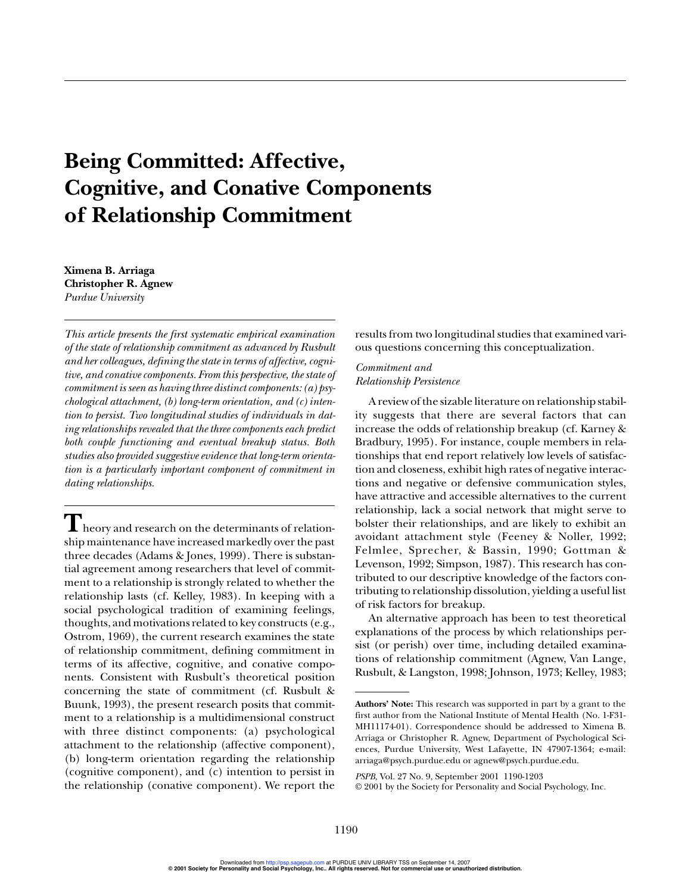# **Being Committed: Affective, Cognitive, and Conative Components of Relationship Commitment**

**Ximena B. Arriaga Christopher R. Agnew** *Purdue University*

*This article presents the first systematic empirical examination of the state of relationship commitment as advanced by Rusbult and her colleagues, defining the state in terms of affective, cognitive, and conative components. From this perspective, the state of commitment is seen as having three distinct components: (a) psychological attachment, (b) long-term orientation, and (c) intention to persist. Two longitudinal studies of individuals in dating relationships revealed that the three components each predict both couple functioning and eventual breakup status. Both studies also provided suggestive evidence that long-term orientation is a particularly important component of commitment in dating relationships.*

**T** heory and research on the determinants of relationship maintenance have increased markedly over the past three decades (Adams & Jones, 1999). There is substantial agreement among researchers that level of commitment to a relationship is strongly related to whether the relationship lasts (cf. Kelley, 1983). In keeping with a social psychological tradition of examining feelings, thoughts, and motivations related to key constructs (e.g., Ostrom, 1969), the current research examines the state of relationship commitment, defining commitment in terms of its affective, cognitive, and conative components. Consistent with Rusbult's theoretical position concerning the state of commitment (cf. Rusbult & Buunk, 1993), the present research posits that commitment to a relationship is a multidimensional construct with three distinct components: (a) psychological attachment to the relationship (affective component), (b) long-term orientation regarding the relationship (cognitive component), and (c) intention to persist in the relationship (conative component). We report the results from two longitudinal studies that examined various questions concerning this conceptualization.

# *Commitment and Relationship Persistence*

A review of the sizable literature on relationship stability suggests that there are several factors that can increase the odds of relationship breakup (cf. Karney & Bradbury, 1995). For instance, couple members in relationships that end report relatively low levels of satisfaction and closeness, exhibit high rates of negative interactions and negative or defensive communication styles, have attractive and accessible alternatives to the current relationship, lack a social network that might serve to bolster their relationships, and are likely to exhibit an avoidant attachment style (Feeney & Noller, 1992; Felmlee, Sprecher, & Bassin, 1990; Gottman & Levenson, 1992; Simpson, 1987). This research has contributed to our descriptive knowledge of the factors contributing to relationship dissolution, yielding a useful list of risk factors for breakup.

An alternative approach has been to test theoretical explanations of the process by which relationships persist (or perish) over time, including detailed examinations of relationship commitment (Agnew, Van Lange, Rusbult, & Langston, 1998; Johnson, 1973; Kelley, 1983;

*PSPB,* Vol. 27 No. 9, September 2001 1190-1203

© 2001 by the Society for Personality and Social Psychology, Inc.

**Authors' Note:** This research was supported in part by a grant to the first author from the National Institute of Mental Health (No. 1-F31- MH11174-01). Correspondence should be addressed to Ximena B. Arriaga or Christopher R. Agnew, Department of Psychological Sciences, Purdue University, West Lafayette, IN 47907-1364; e-mail: arriaga@psych.purdue.edu or agnew@psych.purdue.edu.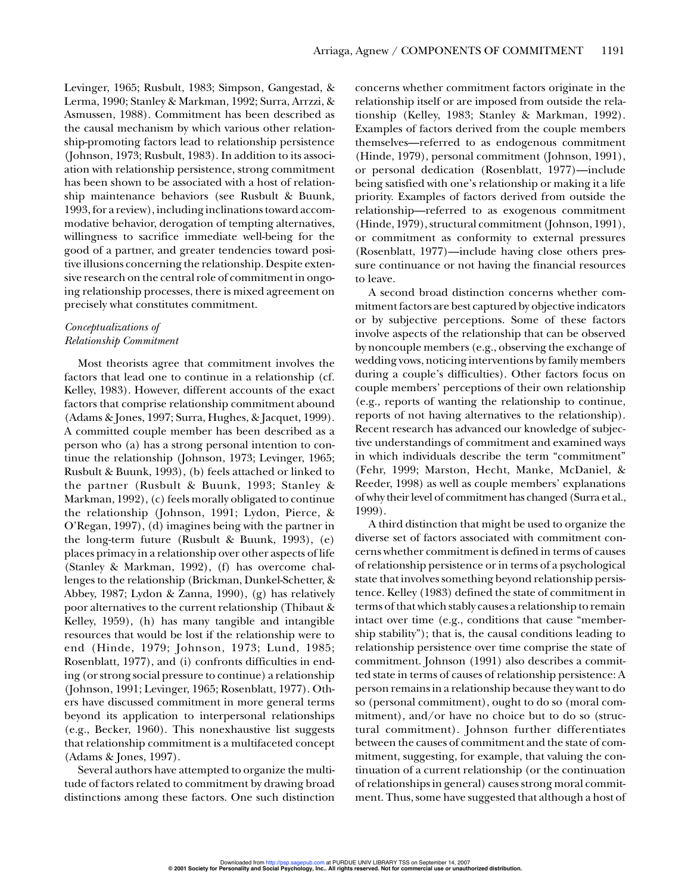Levinger, 1965; Rusbult, 1983; Simpson, Gangestad, & Lerma, 1990; Stanley & Markman, 1992; Surra, Arrzzi, & Asmussen, 1988). Commitment has been described as the causal mechanism by which various other relationship-promoting factors lead to relationship persistence (Johnson, 1973; Rusbult, 1983). In addition to its association with relationship persistence, strong commitment has been shown to be associated with a host of relationship maintenance behaviors (see Rusbult & Buunk, 1993, for a review), including inclinations toward accommodative behavior, derogation of tempting alternatives, willingness to sacrifice immediate well-being for the good of a partner, and greater tendencies toward positive illusions concerning the relationship. Despite extensive research on the central role of commitment in ongoing relationship processes, there is mixed agreement on precisely what constitutes commitment.

## *Conceptualizations of Relationship Commitment*

Most theorists agree that commitment involves the factors that lead one to continue in a relationship (cf. Kelley, 1983). However, different accounts of the exact factors that comprise relationship commitment abound (Adams & Jones, 1997; Surra, Hughes, & Jacquet, 1999). A committed couple member has been described as a person who (a) has a strong personal intention to continue the relationship (Johnson, 1973; Levinger, 1965; Rusbult & Buunk, 1993), (b) feels attached or linked to the partner (Rusbult & Buunk, 1993; Stanley & Markman, 1992), (c) feels morally obligated to continue the relationship (Johnson, 1991; Lydon, Pierce, & O'Regan, 1997), (d) imagines being with the partner in the long-term future (Rusbult & Buunk, 1993), (e) places primacy in a relationship over other aspects of life (Stanley & Markman, 1992), (f) has overcome challenges to the relationship (Brickman, Dunkel-Schetter, & Abbey, 1987; Lydon & Zanna, 1990), (g) has relatively poor alternatives to the current relationship (Thibaut & Kelley, 1959), (h) has many tangible and intangible resources that would be lost if the relationship were to end (Hinde, 1979; Johnson, 1973; Lund, 1985; Rosenblatt, 1977), and (i) confronts difficulties in ending (or strong social pressure to continue) a relationship (Johnson, 1991; Levinger, 1965; Rosenblatt, 1977). Others have discussed commitment in more general terms beyond its application to interpersonal relationships (e.g., Becker, 1960). This nonexhaustive list suggests that relationship commitment is a multifaceted concept (Adams & Jones, 1997).

Several authors have attempted to organize the multitude of factors related to commitment by drawing broad distinctions among these factors. One such distinction concerns whether commitment factors originate in the relationship itself or are imposed from outside the relationship (Kelley, 1983; Stanley & Markman, 1992). Examples of factors derived from the couple members themselves—referred to as endogenous commitment (Hinde, 1979), personal commitment (Johnson, 1991), or personal dedication (Rosenblatt, 1977)—include being satisfied with one's relationship or making it a life priority. Examples of factors derived from outside the relationship—referred to as exogenous commitment (Hinde, 1979), structural commitment (Johnson, 1991), or commitment as conformity to external pressures (Rosenblatt, 1977)—include having close others pressure continuance or not having the financial resources to leave.

A second broad distinction concerns whether commitment factors are best captured by objective indicators or by subjective perceptions. Some of these factors involve aspects of the relationship that can be observed by noncouple members (e.g., observing the exchange of wedding vows, noticing interventions by family members during a couple's difficulties). Other factors focus on couple members' perceptions of their own relationship (e.g., reports of wanting the relationship to continue, reports of not having alternatives to the relationship). Recent research has advanced our knowledge of subjective understandings of commitment and examined ways in which individuals describe the term "commitment" (Fehr, 1999; Marston, Hecht, Manke, McDaniel, & Reeder, 1998) as well as couple members' explanations of why their level of commitment has changed (Surra et al., 1999).

A third distinction that might be used to organize the diverse set of factors associated with commitment concerns whether commitment is defined in terms of causes of relationship persistence or in terms of a psychological state that involves something beyond relationship persistence. Kelley (1983) defined the state of commitment in terms of that which stably causes a relationship to remain intact over time (e.g., conditions that cause "membership stability"); that is, the causal conditions leading to relationship persistence over time comprise the state of commitment. Johnson (1991) also describes a committed state in terms of causes of relationship persistence: A person remains in a relationship because they want to do so (personal commitment), ought to do so (moral commitment), and/or have no choice but to do so (structural commitment). Johnson further differentiates between the causes of commitment and the state of commitment, suggesting, for example, that valuing the continuation of a current relationship (or the continuation of relationships in general) causes strong moral commitment. Thus, some have suggested that although a host of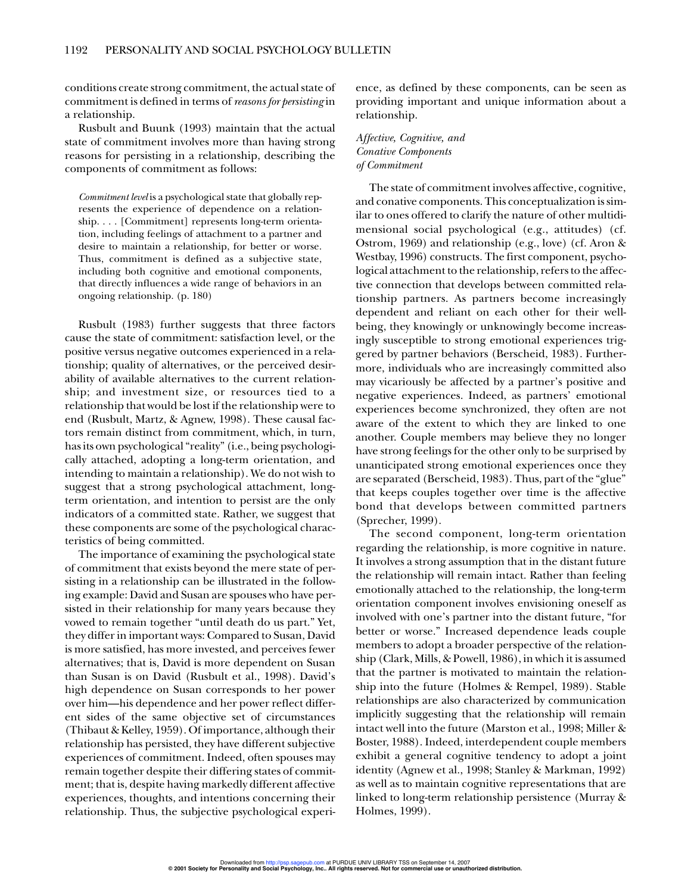conditions create strong commitment, the actual state of commitment is defined in terms of *reasons for persisting* in a relationship.

Rusbult and Buunk (1993) maintain that the actual state of commitment involves more than having strong reasons for persisting in a relationship, describing the components of commitment as follows:

*Commitment level* is a psychological state that globally represents the experience of dependence on a relationship.... [Commitment] represents long-term orientation, including feelings of attachment to a partner and desire to maintain a relationship, for better or worse. Thus, commitment is defined as a subjective state, including both cognitive and emotional components, that directly influences a wide range of behaviors in an ongoing relationship. (p. 180)

Rusbult (1983) further suggests that three factors cause the state of commitment: satisfaction level, or the positive versus negative outcomes experienced in a relationship; quality of alternatives, or the perceived desirability of available alternatives to the current relationship; and investment size, or resources tied to a relationship that would be lost if the relationship were to end (Rusbult, Martz, & Agnew, 1998). These causal factors remain distinct from commitment, which, in turn, has its own psychological "reality" (i.e., being psychologically attached, adopting a long-term orientation, and intending to maintain a relationship). We do not wish to suggest that a strong psychological attachment, longterm orientation, and intention to persist are the only indicators of a committed state. Rather, we suggest that these components are some of the psychological characteristics of being committed.

The importance of examining the psychological state of commitment that exists beyond the mere state of persisting in a relationship can be illustrated in the following example: David and Susan are spouses who have persisted in their relationship for many years because they vowed to remain together "until death do us part." Yet, they differ in important ways: Compared to Susan, David is more satisfied, has more invested, and perceives fewer alternatives; that is, David is more dependent on Susan than Susan is on David (Rusbult et al., 1998). David's high dependence on Susan corresponds to her power over him—his dependence and her power reflect different sides of the same objective set of circumstances (Thibaut & Kelley, 1959). Of importance, although their relationship has persisted, they have different subjective experiences of commitment. Indeed, often spouses may remain together despite their differing states of commitment; that is, despite having markedly different affective experiences, thoughts, and intentions concerning their relationship. Thus, the subjective psychological experience, as defined by these components, can be seen as providing important and unique information about a relationship.

# *Affective, Cognitive, and Conative Components of Commitment*

The state of commitment involves affective, cognitive, and conative components. This conceptualization is similar to ones offered to clarify the nature of other multidimensional social psychological (e.g., attitudes) (cf. Ostrom, 1969) and relationship (e.g., love) (cf. Aron & Westbay, 1996) constructs. The first component, psychological attachment to the relationship, refers to the affective connection that develops between committed relationship partners. As partners become increasingly dependent and reliant on each other for their wellbeing, they knowingly or unknowingly become increasingly susceptible to strong emotional experiences triggered by partner behaviors (Berscheid, 1983). Furthermore, individuals who are increasingly committed also may vicariously be affected by a partner's positive and negative experiences. Indeed, as partners' emotional experiences become synchronized, they often are not aware of the extent to which they are linked to one another. Couple members may believe they no longer have strong feelings for the other only to be surprised by unanticipated strong emotional experiences once they are separated (Berscheid, 1983). Thus, part of the "glue" that keeps couples together over time is the affective bond that develops between committed partners (Sprecher, 1999).

The second component, long-term orientation regarding the relationship, is more cognitive in nature. It involves a strong assumption that in the distant future the relationship will remain intact. Rather than feeling emotionally attached to the relationship, the long-term orientation component involves envisioning oneself as involved with one's partner into the distant future, "for better or worse." Increased dependence leads couple members to adopt a broader perspective of the relationship (Clark, Mills, & Powell, 1986), in which it is assumed that the partner is motivated to maintain the relationship into the future (Holmes & Rempel, 1989). Stable relationships are also characterized by communication implicitly suggesting that the relationship will remain intact well into the future (Marston et al., 1998; Miller & Boster, 1988). Indeed, interdependent couple members exhibit a general cognitive tendency to adopt a joint identity (Agnew et al., 1998; Stanley & Markman, 1992) as well as to maintain cognitive representations that are linked to long-term relationship persistence (Murray & Holmes, 1999).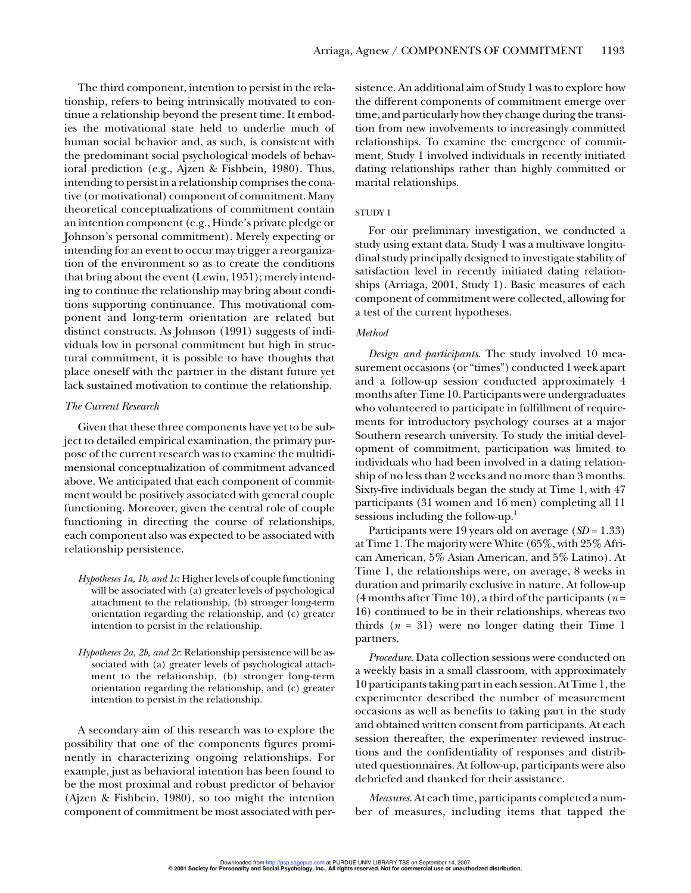The third component, intention to persist in the relationship, refers to being intrinsically motivated to continue a relationship beyond the present time. It embodies the motivational state held to underlie much of human social behavior and, as such, is consistent with the predominant social psychological models of behavioral prediction (e.g., Ajzen & Fishbein, 1980). Thus, intending to persist in a relationship comprises the conative (or motivational) component of commitment. Many theoretical conceptualizations of commitment contain an intention component (e.g., Hinde's private pledge or Johnson's personal commitment). Merely expecting or intending for an event to occur may trigger a reorganization of the environment so as to create the conditions that bring about the event (Lewin, 1951); merely intending to continue the relationship may bring about conditions supporting continuance. This motivational component and long-term orientation are related but distinct constructs. As Johnson (1991) suggests of individuals low in personal commitment but high in structural commitment, it is possible to have thoughts that place oneself with the partner in the distant future yet lack sustained motivation to continue the relationship.

#### *The Current Research*

Given that these three components have yet to be subject to detailed empirical examination, the primary purpose of the current research was to examine the multidimensional conceptualization of commitment advanced above. We anticipated that each component of commitment would be positively associated with general couple functioning. Moreover, given the central role of couple functioning in directing the course of relationships, each component also was expected to be associated with relationship persistence.

- *Hypotheses 1a, 1b, and 1c*: Higher levels of couple functioning will be associated with (a) greater levels of psychological attachment to the relationship, (b) stronger long-term orientation regarding the relationship, and (c) greater intention to persist in the relationship.
- *Hypotheses 2a, 2b, and 2c*: Relationship persistence will be associated with (a) greater levels of psychological attachment to the relationship, (b) stronger long-term orientation regarding the relationship, and (c) greater intention to persist in the relationship.

A secondary aim of this research was to explore the possibility that one of the components figures prominently in characterizing ongoing relationships. For example, just as behavioral intention has been found to be the most proximal and robust predictor of behavior (Ajzen & Fishbein, 1980), so too might the intention component of commitment be most associated with persistence. An additional aim of Study 1 was to explore how the different components of commitment emerge over time, and particularly how they change during the transition from new involvements to increasingly committed relationships. To examine the emergence of commitment, Study 1 involved individuals in recently initiated dating relationships rather than highly committed or marital relationships.

#### STUDY 1

For our preliminary investigation, we conducted a study using extant data. Study 1 was a multiwave longitudinal study principally designed to investigate stability of satisfaction level in recently initiated dating relationships (Arriaga, 2001, Study 1). Basic measures of each component of commitment were collected, allowing for a test of the current hypotheses.

## *Method*

*Design and participants*. The study involved 10 measurement occasions (or "times") conducted 1 week apart and a follow-up session conducted approximately 4 months after Time 10. Participants were undergraduates who volunteered to participate in fulfillment of requirements for introductory psychology courses at a major Southern research university. To study the initial development of commitment, participation was limited to individuals who had been involved in a dating relationship of no less than 2 weeks and no more than 3 months. Sixty-five individuals began the study at Time 1, with 47 participants (31 women and 16 men) completing all 11 sessions including the follow-up.<sup>1</sup>

Participants were 19 years old on average (*SD* = 1.33) at Time 1. The majority were White (65%, with 25% African American, 5% Asian American, and 5% Latino). At Time 1, the relationships were, on average, 8 weeks in duration and primarily exclusive in nature. At follow-up (4 months after Time 10), a third of the participants (*n* = 16) continued to be in their relationships, whereas two thirds  $(n = 31)$  were no longer dating their Time 1 partners.

*Procedure*. Data collection sessions were conducted on a weekly basis in a small classroom, with approximately 10 participants taking part in each session. At Time 1, the experimenter described the number of measurement occasions as well as benefits to taking part in the study and obtained written consent from participants. At each session thereafter, the experimenter reviewed instructions and the confidentiality of responses and distributed questionnaires. At follow-up, participants were also debriefed and thanked for their assistance.

*Measures*. At each time, participants completed a number of measures, including items that tapped the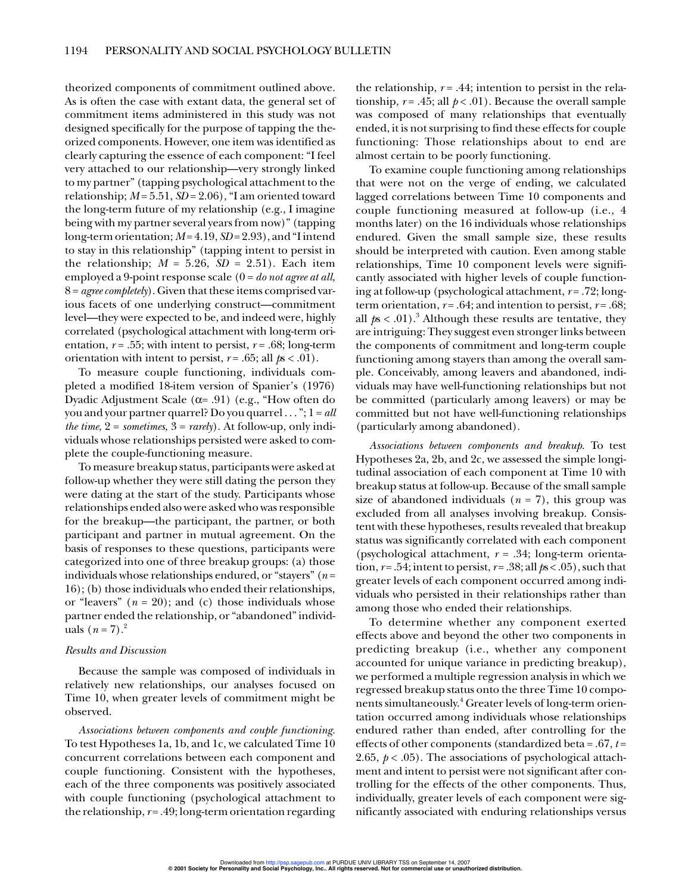theorized components of commitment outlined above. As is often the case with extant data, the general set of commitment items administered in this study was not designed specifically for the purpose of tapping the theorized components. However, one item was identified as clearly capturing the essence of each component: "I feel very attached to our relationship—very strongly linked to my partner" (tapping psychological attachment to the relationship;  $M = 5.51$ ,  $SD = 2.06$ ), "I am oriented toward the long-term future of my relationship (e.g., I imagine being with my partner several years from now)" (tapping long-term orientation; *M* = 4.19, *SD*= 2.93), and "I intend to stay in this relationship" (tapping intent to persist in the relationship;  $M = 5.26$ ,  $SD = 2.51$ ). Each item employed a 9-point response scale (0 = *do not agree at all*, 8 = *agree completely*). Given that these items comprised various facets of one underlying construct—commitment level—they were expected to be, and indeed were, highly correlated (psychological attachment with long-term orientation,  $r = .55$ ; with intent to persist,  $r = .68$ ; long-term orientation with intent to persist,  $r = .65$ ; all  $ps < .01$ ).

To measure couple functioning, individuals completed a modified 18-item version of Spanier's (1976) Dyadic Adjustment Scale  $(\alpha = .91)$  (e.g., "How often do you and your partner quarrel? Do you quarrel . . . "; 1 = *all the time*,  $2 =$  *sometimes*,  $3 =$  *rarely*). At follow-up, only individuals whose relationships persisted were asked to complete the couple-functioning measure.

To measure breakup status, participants were asked at follow-up whether they were still dating the person they were dating at the start of the study. Participants whose relationships ended also were asked who was responsible for the breakup—the participant, the partner, or both participant and partner in mutual agreement. On the basis of responses to these questions, participants were categorized into one of three breakup groups: (a) those individuals whose relationships endured, or "stayers" (*n* = 16); (b) those individuals who ended their relationships, or "leavers"  $(n = 20)$ ; and  $(c)$  those individuals whose partner ended the relationship, or "abandoned" individuals  $(n=7)^2$ .

## *Results and Discussion*

Because the sample was composed of individuals in relatively new relationships, our analyses focused on Time 10, when greater levels of commitment might be observed.

*Associations between components and couple functioning*. To test Hypotheses 1a, 1b, and 1c, we calculated Time 10 concurrent correlations between each component and couple functioning. Consistent with the hypotheses, each of the three components was positively associated with couple functioning (psychological attachment to the relationship,  $r = .49$ ; long-term orientation regarding the relationship,  $r = .44$ ; intention to persist in the relationship,  $r = .45$ ; all  $p < .01$ ). Because the overall sample was composed of many relationships that eventually ended, it is not surprising to find these effects for couple functioning: Those relationships about to end are almost certain to be poorly functioning.

To examine couple functioning among relationships that were not on the verge of ending, we calculated lagged correlations between Time 10 components and couple functioning measured at follow-up (i.e., 4 months later) on the 16 individuals whose relationships endured. Given the small sample size, these results should be interpreted with caution. Even among stable relationships, Time 10 component levels were significantly associated with higher levels of couple functioning at follow-up (psychological attachment, *r* = .72; longterm orientation,  $r = .64$ ; and intention to persist,  $r = .68$ ; all  $p \leq 0.01$ .<sup>3</sup> Although these results are tentative, they are intriguing: They suggest even stronger links between the components of commitment and long-term couple functioning among stayers than among the overall sample. Conceivably, among leavers and abandoned, individuals may have well-functioning relationships but not be committed (particularly among leavers) or may be committed but not have well-functioning relationships (particularly among abandoned).

*Associations between components and breakup*. To test Hypotheses 2a, 2b, and 2c, we assessed the simple longitudinal association of each component at Time 10 with breakup status at follow-up. Because of the small sample size of abandoned individuals  $(n = 7)$ , this group was excluded from all analyses involving breakup. Consistent with these hypotheses, results revealed that breakup status was significantly correlated with each component (psychological attachment, *r* = .34; long-term orientation,  $r = .54$ ; intent to persist,  $r = .38$ ; all  $p \le .05$ ), such that greater levels of each component occurred among individuals who persisted in their relationships rather than among those who ended their relationships.

To determine whether any component exerted effects above and beyond the other two components in predicting breakup (i.e., whether any component accounted for unique variance in predicting breakup), we performed a multiple regression analysis in which we regressed breakup status onto the three Time 10 components simultaneously.4 Greater levels of long-term orientation occurred among individuals whose relationships endured rather than ended, after controlling for the effects of other components (standardized beta = .67, *t* = 2.65,  $p < .05$ ). The associations of psychological attachment and intent to persist were not significant after controlling for the effects of the other components. Thus, individually, greater levels of each component were significantly associated with enduring relationships versus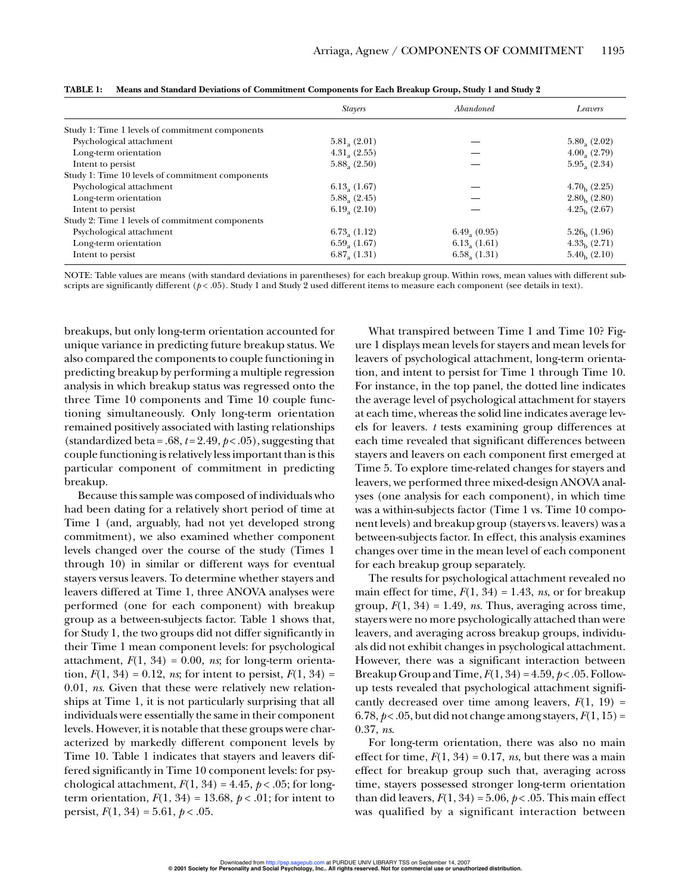|                                                  | <b>Stayers</b>         | Abandoned    | Leavers               |
|--------------------------------------------------|------------------------|--------------|-----------------------|
| Study 1: Time 1 levels of commitment components  |                        |              |                       |
| Psychological attachment                         | $5.81_{\alpha}$ (2.01) |              | 5.80, (2.02)          |
| Long-term orientation                            | 4.31, (2.55)           |              | $4.00_{\rm a}$ (2.79) |
| Intent to persist                                | 5.88, (2.50)           |              | 5.95, (2.34)          |
| Study 1: Time 10 levels of commitment components |                        |              |                       |
| Psychological attachment                         | 6.13, (1.67)           |              | $4.70h$ (2.25)        |
| Long-term orientation                            | 5.88, (2.45)           |              | $2.80h$ (2.80)        |
| Intent to persist                                | 6.19, (2.10)           |              | $4.25h$ (2.67)        |
| Study 2: Time 1 levels of commitment components  |                        |              |                       |
| Psychological attachment                         | 6.73, (1.12)           | 6.49, (0.95) | $5.26h$ (1.96)        |
| Long-term orientation                            | 6.59, (1.67)           | 6.13, (1.61) | $4.33b$ (2.71)        |
| Intent to persist                                | $6.87_{\circ}$ (1.31)  | 6.58, (1.31) | $5.40h$ (2.10)        |

| TABLE 1: Means and Standard Deviations of Commitment Components for Each Breakup Group, Study 1 and Study 2 |  |  |
|-------------------------------------------------------------------------------------------------------------|--|--|
|                                                                                                             |  |  |

NOTE: Table values are means (with standard deviations in parentheses) for each breakup group. Within rows, mean values with different subscripts are significantly different ( $p < .05$ ). Study 1 and Study 2 used different items to measure each component (see details in text).

breakups, but only long-term orientation accounted for unique variance in predicting future breakup status. We also compared the components to couple functioning in predicting breakup by performing a multiple regression analysis in which breakup status was regressed onto the three Time 10 components and Time 10 couple functioning simultaneously. Only long-term orientation remained positively associated with lasting relationships (standardized beta = .68,  $t = 2.49$ ,  $p < .05$ ), suggesting that couple functioning is relatively less important than is this particular component of commitment in predicting breakup.

Because this sample was composed of individuals who had been dating for a relatively short period of time at Time 1 (and, arguably, had not yet developed strong commitment), we also examined whether component levels changed over the course of the study (Times 1 through 10) in similar or different ways for eventual stayers versus leavers. To determine whether stayers and leavers differed at Time 1, three ANOVA analyses were performed (one for each component) with breakup group as a between-subjects factor. Table 1 shows that, for Study 1, the two groups did not differ significantly in their Time 1 mean component levels: for psychological attachment,  $F(1, 34) = 0.00$ , *ns*; for long-term orientation,  $F(1, 34) = 0.12$ , *ns*; for intent to persist,  $F(1, 34) =$ 0.01, *ns*. Given that these were relatively new relationships at Time 1, it is not particularly surprising that all individuals were essentially the same in their component levels. However, it is notable that these groups were characterized by markedly different component levels by Time 10. Table 1 indicates that stayers and leavers differed significantly in Time 10 component levels: for psychological attachment,  $F(1, 34) = 4.45$ ,  $p < .05$ ; for longterm orientation,  $F(1, 34) = 13.68$ ,  $p < .01$ ; for intent to persist,  $F(1, 34) = 5.61, p < .05$ .

What transpired between Time 1 and Time 10? Figure 1 displays mean levels for stayers and mean levels for leavers of psychological attachment, long-term orientation, and intent to persist for Time 1 through Time 10. For instance, in the top panel, the dotted line indicates the average level of psychological attachment for stayers at each time, whereas the solid line indicates average levels for leavers. *t* tests examining group differences at each time revealed that significant differences between stayers and leavers on each component first emerged at Time 5. To explore time-related changes for stayers and leavers, we performed three mixed-design ANOVA analyses (one analysis for each component), in which time was a within-subjects factor (Time 1 vs. Time 10 component levels) and breakup group (stayers vs. leavers) was a between-subjects factor. In effect, this analysis examines changes over time in the mean level of each component for each breakup group separately.

The results for psychological attachment revealed no main effect for time,  $F(1, 34) = 1.43$ , *ns*, or for breakup group,  $F(1, 34) = 1.49$ , *ns.* Thus, averaging across time, stayers were no more psychologically attached than were leavers, and averaging across breakup groups, individuals did not exhibit changes in psychological attachment. However, there was a significant interaction between Breakup Group and Time,  $F(1, 34) = 4.59$ ,  $p < .05$ . Followup tests revealed that psychological attachment significantly decreased over time among leavers,  $F(1, 19) =$ 6.78,  $p < .05$ , but did not change among stayers,  $F(1, 15)$  = 0.37, *ns*.

For long-term orientation, there was also no main effect for time,  $F(1, 34) = 0.17$ , *ns*, but there was a main effect for breakup group such that, averaging across time, stayers possessed stronger long-term orientation than did leavers,  $F(1, 34) = 5.06$ ,  $p < .05$ . This main effect was qualified by a significant interaction between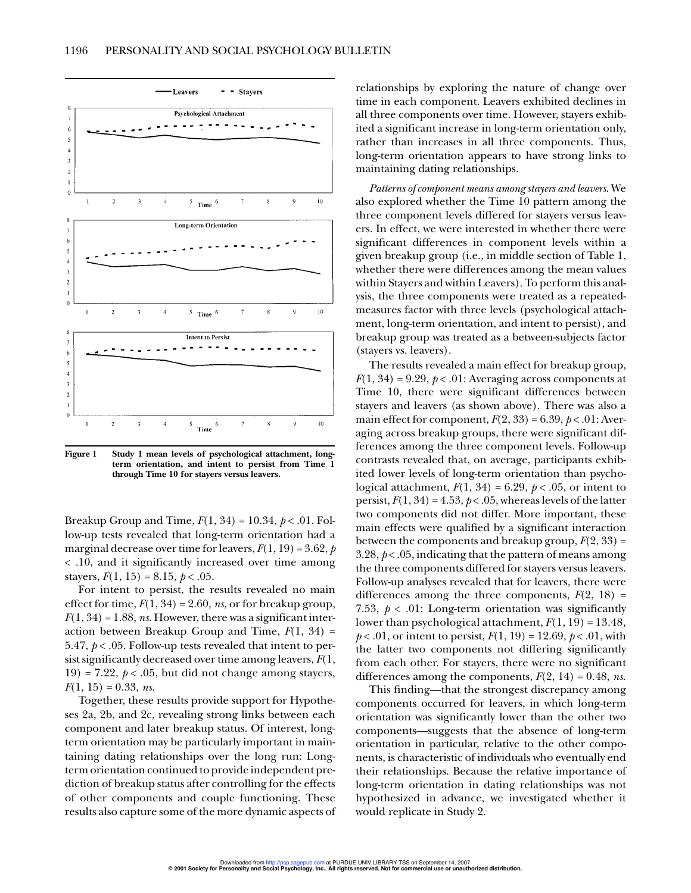

**Figure 1 Study 1 mean levels of psychological attachment, longterm orientation, and intent to persist from Time 1 through Time 10 for stayers versus leavers.**

Breakup Group and Time,  $F(1, 34) = 10.34$ ,  $p < .01$ . Follow-up tests revealed that long-term orientation had a marginal decrease over time for leavers,  $F(1, 19) = 3.62$ , *p* < .10, and it significantly increased over time among stayers,  $F(1, 15) = 8.15, p < .05$ .

For intent to persist, the results revealed no main effect for time,  $F(1, 34) = 2.60$ , *ns*, or for breakup group,  $F(1, 34) = 1.88$ , *ns.* However, there was a significant interaction between Breakup Group and Time,  $F(1, 34) =$ 5.47,  $p < 0.05$ . Follow-up tests revealed that intent to persist significantly decreased over time among leavers, *F*(1, 19) = 7.22,  $p < .05$ , but did not change among stayers, *F*(1, 15) = 0.33, *ns*.

Together, these results provide support for Hypotheses 2a, 2b, and 2c, revealing strong links between each component and later breakup status. Of interest, longterm orientation may be particularly important in maintaining dating relationships over the long run: Longterm orientation continued to provide independent prediction of breakup status after controlling for the effects of other components and couple functioning. These results also capture some of the more dynamic aspects of relationships by exploring the nature of change over time in each component. Leavers exhibited declines in all three components over time. However, stayers exhibited a significant increase in long-term orientation only, rather than increases in all three components. Thus, long-term orientation appears to have strong links to maintaining dating relationships.

*Patterns of component means among stayers and leavers*. We also explored whether the Time 10 pattern among the three component levels differed for stayers versus leavers. In effect, we were interested in whether there were significant differences in component levels within a given breakup group (i.e., in middle section of Table 1, whether there were differences among the mean values within Stayers and within Leavers). To perform this analysis, the three components were treated as a repeatedmeasures factor with three levels (psychological attachment, long-term orientation, and intent to persist), and breakup group was treated as a between-subjects factor (stayers vs. leavers).

The results revealed a main effect for breakup group,  $F(1, 34) = 9.29$ ,  $p < .01$ : Averaging across components at Time 10, there were significant differences between stayers and leavers (as shown above). There was also a main effect for component,  $F(2, 33) = 6.39$ ,  $p < .01$ : Averaging across breakup groups, there were significant differences among the three component levels. Follow-up contrasts revealed that, on average, participants exhibited lower levels of long-term orientation than psychological attachment,  $F(1, 34) = 6.29$ ,  $p < .05$ , or intent to persist,  $F(1, 34) = 4.53$ ,  $p < .05$ , whereas levels of the latter two components did not differ. More important, these main effects were qualified by a significant interaction between the components and breakup group,  $F(2, 33) =$ 3.28,  $p < .05$ , indicating that the pattern of means among the three components differed for stayers versus leavers. Follow-up analyses revealed that for leavers, there were differences among the three components,  $F(2, 18) =$ 7.53,  $p < 0.01$ : Long-term orientation was significantly lower than psychological attachment, *F*(1, 19) = 13.48,  $p < .01$ , or intent to persist,  $F(1, 19) = 12.69$ ,  $p < .01$ , with the latter two components not differing significantly from each other. For stayers, there were no significant differences among the components,  $F(2, 14) = 0.48$ , *ns*.

This finding—that the strongest discrepancy among components occurred for leavers, in which long-term orientation was significantly lower than the other two components—suggests that the absence of long-term orientation in particular, relative to the other components, is characteristic of individuals who eventually end their relationships. Because the relative importance of long-term orientation in dating relationships was not hypothesized in advance, we investigated whether it would replicate in Study 2.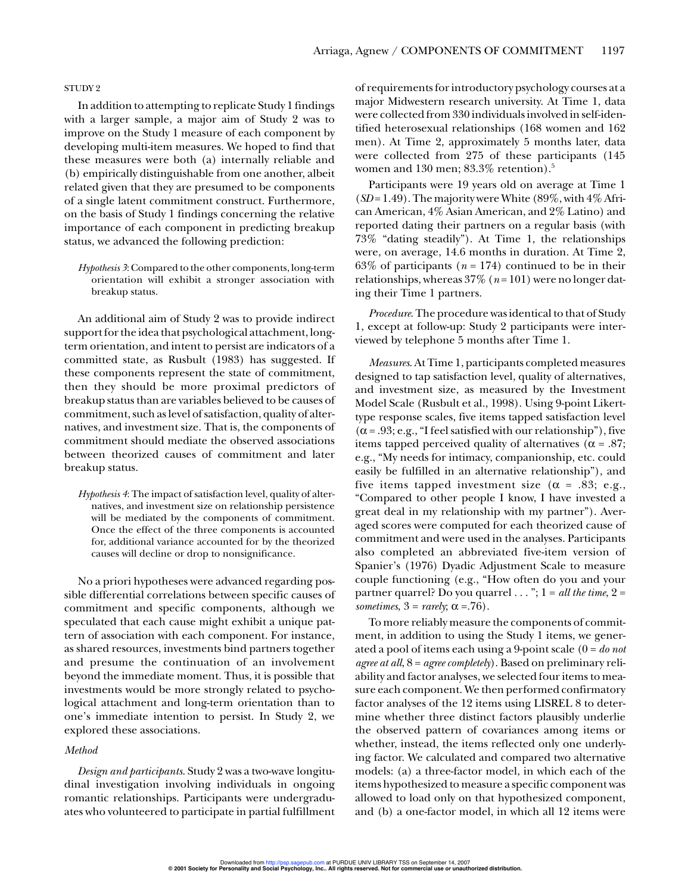### STUDY 2

In addition to attempting to replicate Study 1 findings with a larger sample, a major aim of Study 2 was to improve on the Study 1 measure of each component by developing multi-item measures. We hoped to find that these measures were both (a) internally reliable and (b) empirically distinguishable from one another, albeit related given that they are presumed to be components of a single latent commitment construct. Furthermore, on the basis of Study 1 findings concerning the relative importance of each component in predicting breakup status, we advanced the following prediction:

*Hypothesis 3*: Compared to the other components, long-term orientation will exhibit a stronger association with breakup status.

An additional aim of Study 2 was to provide indirect support for the idea that psychological attachment, longterm orientation, and intent to persist are indicators of a committed state, as Rusbult (1983) has suggested. If these components represent the state of commitment, then they should be more proximal predictors of breakup status than are variables believed to be causes of commitment, such as level of satisfaction, quality of alternatives, and investment size. That is, the components of commitment should mediate the observed associations between theorized causes of commitment and later breakup status.

*Hypothesis 4*: The impact of satisfaction level, quality of alternatives, and investment size on relationship persistence will be mediated by the components of commitment. Once the effect of the three components is accounted for, additional variance accounted for by the theorized causes will decline or drop to nonsignificance.

No a priori hypotheses were advanced regarding possible differential correlations between specific causes of commitment and specific components, although we speculated that each cause might exhibit a unique pattern of association with each component. For instance, as shared resources, investments bind partners together and presume the continuation of an involvement beyond the immediate moment. Thus, it is possible that investments would be more strongly related to psychological attachment and long-term orientation than to one's immediate intention to persist. In Study 2, we explored these associations.

## *Method*

*Design and participants*. Study 2 was a two-wave longitudinal investigation involving individuals in ongoing romantic relationships. Participants were undergraduates who volunteered to participate in partial fulfillment of requirements for introductory psychology courses at a major Midwestern research university. At Time 1, data were collected from 330 individuals involved in self-identified heterosexual relationships (168 women and 162 men). At Time 2, approximately 5 months later, data were collected from 275 of these participants (145 women and 130 men;  $83.3\%$  retention).<sup>5</sup>

Participants were 19 years old on average at Time 1 (*SD*= 1.49). The majority were White (89%, with 4% African American, 4% Asian American, and 2% Latino) and reported dating their partners on a regular basis (with 73% "dating steadily"). At Time 1, the relationships were, on average, 14.6 months in duration. At Time 2, 63% of participants ( $n = 174$ ) continued to be in their relationships, whereas 37% (*n* = 101) were no longer dating their Time 1 partners.

*Procedure*. The procedure was identical to that of Study 1, except at follow-up: Study 2 participants were interviewed by telephone 5 months after Time 1.

*Measures*. At Time 1, participants completed measures designed to tap satisfaction level, quality of alternatives, and investment size, as measured by the Investment Model Scale (Rusbult et al., 1998). Using 9-point Likerttype response scales, five items tapped satisfaction level  $(\alpha = .93; e.g., "I feel satisfied with our relationship"), five$ items tapped perceived quality of alternatives ( $\alpha$  = .87; e.g., "My needs for intimacy, companionship, etc. could easily be fulfilled in an alternative relationship"), and five items tapped investment size ( $\alpha$  = .83; e.g., "Compared to other people I know, I have invested a great deal in my relationship with my partner"). Averaged scores were computed for each theorized cause of commitment and were used in the analyses. Participants also completed an abbreviated five-item version of Spanier's (1976) Dyadic Adjustment Scale to measure couple functioning (e.g., "How often do you and your partner quarrel? Do you quarrel  $\ldots$ ";  $1 = all$  the time,  $2 =$ *sometimes*,  $3 = \text{rarely}$ ;  $\alpha = .76$ .

To more reliably measure the components of commitment, in addition to using the Study 1 items, we generated a pool of items each using a 9-point scale (0 = *do not agree at all*,8= *agree completely*). Based on preliminary reliability and factor analyses, we selected four items to measure each component. We then performed confirmatory factor analyses of the 12 items using LISREL 8 to determine whether three distinct factors plausibly underlie the observed pattern of covariances among items or whether, instead, the items reflected only one underlying factor. We calculated and compared two alternative models: (a) a three-factor model, in which each of the items hypothesized to measure a specific component was allowed to load only on that hypothesized component, and (b) a one-factor model, in which all 12 items were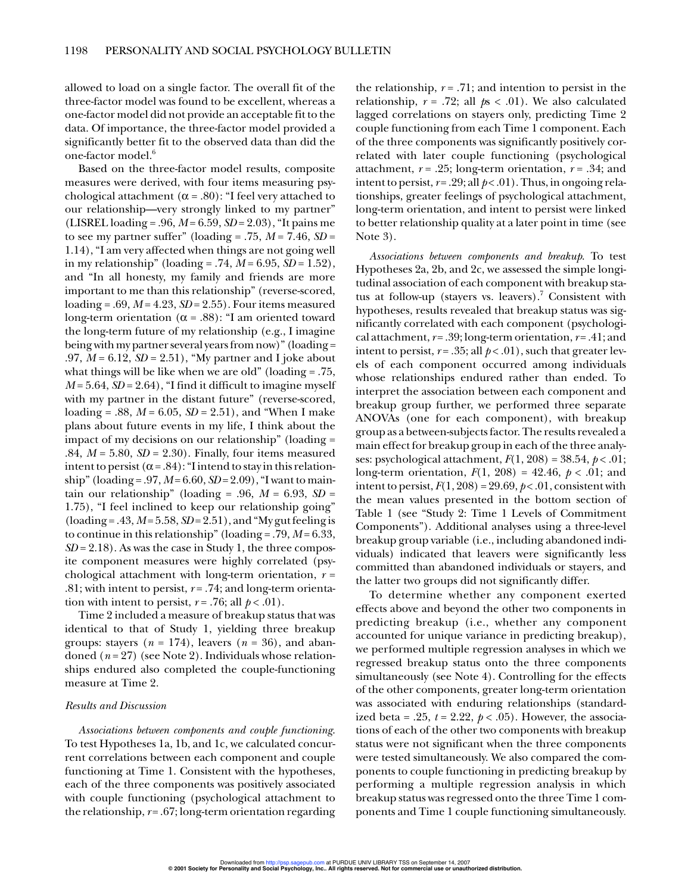allowed to load on a single factor. The overall fit of the three-factor model was found to be excellent, whereas a one-factor model did not provide an acceptable fit to the data. Of importance, the three-factor model provided a significantly better fit to the observed data than did the one-factor model.<sup>6</sup>

Based on the three-factor model results, composite measures were derived, with four items measuring psychological attachment ( $\alpha$  = .80): "I feel very attached to our relationship—very strongly linked to my partner" (LISREL loading = .96, *M* = 6.59, *SD* = 2.03), "It pains me to see my partner suffer" (loading = .75,  $M = 7.46$ ,  $SD =$ 1.14), "I am very affected when things are not going well in my relationship" (loading = .74, *M* = 6.95, *SD* = 1.52), and "In all honesty, my family and friends are more important to me than this relationship" (reverse-scored, loading = .69, *M* = 4.23, *SD* = 2.55). Four items measured long-term orientation ( $\alpha$  = .88): "I am oriented toward the long-term future of my relationship (e.g., I imagine being with my partner several years from now)" (loading = .97, *M* = 6.12, *SD* = 2.51), "My partner and I joke about what things will be like when we are old" (loading = .75,  $M = 5.64$ ,  $SD = 2.64$ ), "I find it difficult to imagine myself with my partner in the distant future" (reverse-scored, loading = .88, *M* = 6.05, *SD* = 2.51), and "When I make plans about future events in my life, I think about the impact of my decisions on our relationship" (loading = .84, *M* = 5.80, *SD* = 2.30). Finally, four items measured intent to persist  $(\alpha = .84)$ : "I intend to stay in this relationship" (loading = .97, *M* = 6.60, *SD*= 2.09), "I want to maintain our relationship" (loading = .96,  $M = 6.93$ ,  $SD =$ 1.75), "I feel inclined to keep our relationship going" (loading = .43, *M* = 5.58, *SD*= 2.51), and "My gut feeling is to continue in this relationship" (loading = .79, *M* = 6.33,  $SD = 2.18$ ). As was the case in Study 1, the three composite component measures were highly correlated (psychological attachment with long-term orientation, *r* = .81; with intent to persist, *r* = .74; and long-term orientation with intent to persist,  $r = .76$ ; all  $p < .01$ ).

Time 2 included a measure of breakup status that was identical to that of Study 1, yielding three breakup groups: stayers  $(n = 174)$ , leavers  $(n = 36)$ , and abandoned (*n* = 27) (see Note 2). Individuals whose relationships endured also completed the couple-functioning measure at Time 2.

## *Results and Discussion*

*Associations between components and couple functioning*. To test Hypotheses 1a, 1b, and 1c, we calculated concurrent correlations between each component and couple functioning at Time 1. Consistent with the hypotheses, each of the three components was positively associated with couple functioning (psychological attachment to the relationship,  $r = .67$ ; long-term orientation regarding

the relationship,  $r = .71$ ; and intention to persist in the relationship,  $r = .72$ ; all  $p \le .01$ ). We also calculated lagged correlations on stayers only, predicting Time 2 couple functioning from each Time 1 component. Each of the three components was significantly positively correlated with later couple functioning (psychological attachment, *r* = .25; long-term orientation, *r* = .34; and intent to persist,  $r = .29$ ; all  $p < .01$ ). Thus, in ongoing relationships, greater feelings of psychological attachment, long-term orientation, and intent to persist were linked to better relationship quality at a later point in time (see Note 3).

*Associations between components and breakup*. To test Hypotheses 2a, 2b, and 2c, we assessed the simple longitudinal association of each component with breakup status at follow-up (stayers vs. leavers).7 Consistent with hypotheses, results revealed that breakup status was significantly correlated with each component (psychological attachment,  $r = .39$ ; long-term orientation,  $r = .41$ ; and intent to persist,  $r = .35$ ; all  $p < .01$ ), such that greater levels of each component occurred among individuals whose relationships endured rather than ended. To interpret the association between each component and breakup group further, we performed three separate ANOVAs (one for each component), with breakup group as a between-subjects factor. The results revealed a main effect for breakup group in each of the three analyses: psychological attachment, *F*(1, 208) = 38.54, *p* < .01; long-term orientation,  $F(1, 208) = 42.46$ ,  $p < .01$ ; and intent to persist,  $F(1, 208) = 29.69$ ,  $p < .01$ , consistent with the mean values presented in the bottom section of Table 1 (see "Study 2: Time 1 Levels of Commitment Components"). Additional analyses using a three-level breakup group variable (i.e., including abandoned individuals) indicated that leavers were significantly less committed than abandoned individuals or stayers, and the latter two groups did not significantly differ.

To determine whether any component exerted effects above and beyond the other two components in predicting breakup (i.e., whether any component accounted for unique variance in predicting breakup), we performed multiple regression analyses in which we regressed breakup status onto the three components simultaneously (see Note 4). Controlling for the effects of the other components, greater long-term orientation was associated with enduring relationships (standardized beta = .25,  $t = 2.22$ ,  $p < .05$ ). However, the associations of each of the other two components with breakup status were not significant when the three components were tested simultaneously. We also compared the components to couple functioning in predicting breakup by performing a multiple regression analysis in which breakup status was regressed onto the three Time 1 components and Time 1 couple functioning simultaneously.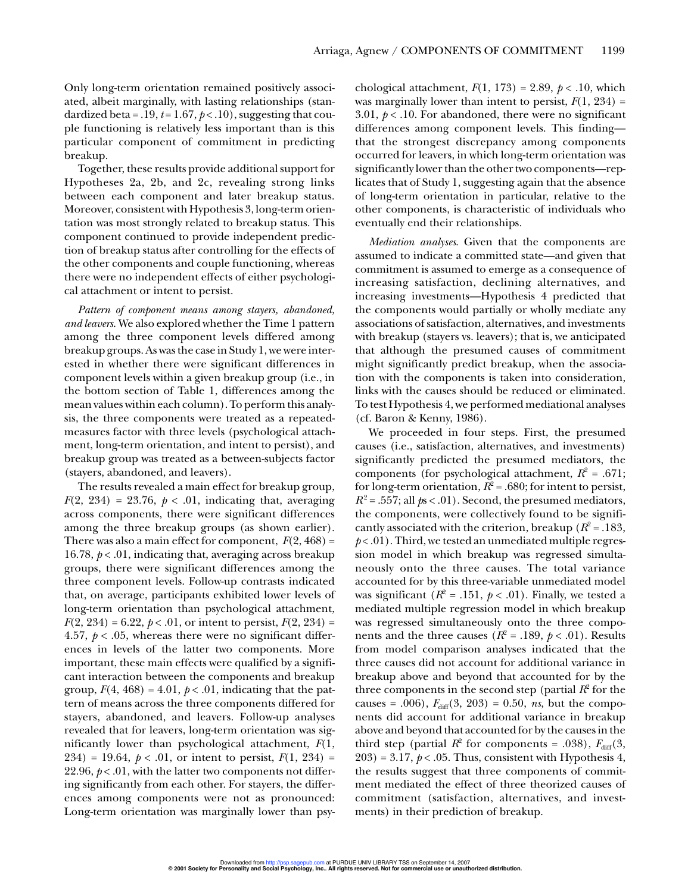Only long-term orientation remained positively associated, albeit marginally, with lasting relationships (standardized beta = .19,  $t = 1.67$ ,  $p < 0.10$ , suggesting that couple functioning is relatively less important than is this particular component of commitment in predicting breakup.

Together, these results provide additional support for Hypotheses 2a, 2b, and 2c, revealing strong links between each component and later breakup status. Moreover, consistent with Hypothesis 3, long-term orientation was most strongly related to breakup status. This component continued to provide independent prediction of breakup status after controlling for the effects of the other components and couple functioning, whereas there were no independent effects of either psychological attachment or intent to persist.

*Pattern of component means among stayers, abandoned, and leavers*. We also explored whether the Time 1 pattern among the three component levels differed among breakup groups. As was the case in Study 1, we were interested in whether there were significant differences in component levels within a given breakup group (i.e., in the bottom section of Table 1, differences among the mean values within each column). To perform this analysis, the three components were treated as a repeatedmeasures factor with three levels (psychological attachment, long-term orientation, and intent to persist), and breakup group was treated as a between-subjects factor (stayers, abandoned, and leavers).

The results revealed a main effect for breakup group,  $F(2, 234) = 23.76$ ,  $p < .01$ , indicating that, averaging across components, there were significant differences among the three breakup groups (as shown earlier). There was also a main effect for component,  $F(2, 468) =$ 16.78,  $p < 0.01$ , indicating that, averaging across breakup groups, there were significant differences among the three component levels. Follow-up contrasts indicated that, on average, participants exhibited lower levels of long-term orientation than psychological attachment,  $F(2, 234) = 6.22, p < .01$ , or intent to persist,  $F(2, 234) =$ 4.57,  $p < 0.05$ , whereas there were no significant differences in levels of the latter two components. More important, these main effects were qualified by a significant interaction between the components and breakup group,  $F(4, 468) = 4.01$ ,  $p < .01$ , indicating that the pattern of means across the three components differed for stayers, abandoned, and leavers. Follow-up analyses revealed that for leavers, long-term orientation was significantly lower than psychological attachment, *F*(1, 234) = 19.64,  $p < .01$ , or intent to persist,  $F(1, 234)$  = 22.96,  $p < 0.01$ , with the latter two components not differing significantly from each other. For stayers, the differences among components were not as pronounced: Long-term orientation was marginally lower than psychological attachment,  $F(1, 173) = 2.89$ ,  $p < .10$ , which was marginally lower than intent to persist,  $F(1, 234) =$ 3.01, *p* < .10. For abandoned, there were no significant differences among component levels. This finding that the strongest discrepancy among components occurred for leavers, in which long-term orientation was significantly lower than the other two components—replicates that of Study 1, suggesting again that the absence of long-term orientation in particular, relative to the other components, is characteristic of individuals who eventually end their relationships.

*Mediation analyses*. Given that the components are assumed to indicate a committed state—and given that commitment is assumed to emerge as a consequence of increasing satisfaction, declining alternatives, and increasing investments—Hypothesis 4 predicted that the components would partially or wholly mediate any associations of satisfaction, alternatives, and investments with breakup (stayers vs. leavers); that is, we anticipated that although the presumed causes of commitment might significantly predict breakup, when the association with the components is taken into consideration, links with the causes should be reduced or eliminated. To test Hypothesis 4, we performed mediational analyses (cf. Baron & Kenny, 1986).

We proceeded in four steps. First, the presumed causes (i.e., satisfaction, alternatives, and investments) significantly predicted the presumed mediators, the components (for psychological attachment,  $R^2 = .671$ ; for long-term orientation,  $R^2 = .680$ ; for intent to persist,  $R^2 = .557$ ; all  $ps < .01$ ). Second, the presumed mediators, the components, were collectively found to be significantly associated with the criterion, breakup ( $R^2 = .183$ ,  $p < .01$ ). Third, we tested an unmediated multiple regression model in which breakup was regressed simultaneously onto the three causes. The total variance accounted for by this three-variable unmediated model was significant ( $R^2 = .151$ ,  $p < .01$ ). Finally, we tested a mediated multiple regression model in which breakup was regressed simultaneously onto the three components and the three causes ( $R^2 = .189$ ,  $p < .01$ ). Results from model comparison analyses indicated that the three causes did not account for additional variance in breakup above and beyond that accounted for by the three components in the second step (partial  $R^2$  for the causes = .006),  $F_{\text{diff}}(3, 203) = 0.50$ , *ns*, but the components did account for additional variance in breakup above and beyond that accounted for by the causes in the third step (partial  $R^2$  for components = .038),  $F_{\text{diff}}(3,$  $203$ ) = 3.17,  $p < 0.05$ . Thus, consistent with Hypothesis 4, the results suggest that three components of commitment mediated the effect of three theorized causes of commitment (satisfaction, alternatives, and investments) in their prediction of breakup.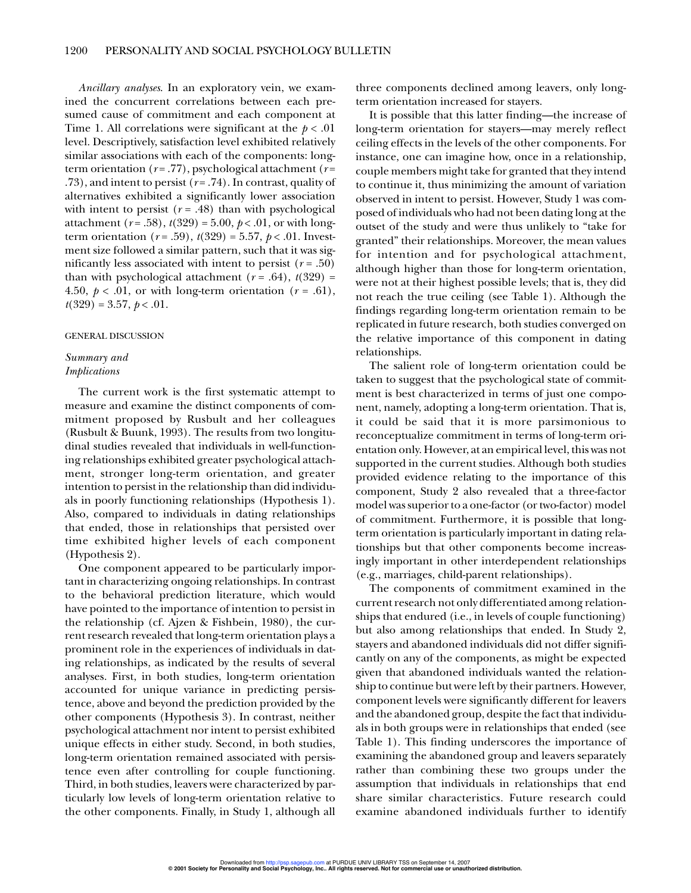*Ancillary analyses*. In an exploratory vein, we examined the concurrent correlations between each presumed cause of commitment and each component at Time 1. All correlations were significant at the  $p < .01$ level. Descriptively, satisfaction level exhibited relatively similar associations with each of the components: longterm orientation (*r* = .77), psychological attachment (*r* = .73), and intent to persist (*r* = .74). In contrast, quality of alternatives exhibited a significantly lower association with intent to persist  $(r = .48)$  than with psychological attachment ( $r = .58$ ),  $t(329) = 5.00, p < .01$ , or with longterm orientation  $(r = .59)$ ,  $t(329) = 5.57$ ,  $p < .01$ . Investment size followed a similar pattern, such that it was significantly less associated with intent to persist  $(r = .50)$ than with psychological attachment  $(r = .64)$ ,  $t(329) =$ 4.50,  $p < .01$ , or with long-term orientation ( $r = .61$ ),  $t(329) = 3.57, p < .01.$ 

#### GENERAL DISCUSSION

## *Summary and Implications*

The current work is the first systematic attempt to measure and examine the distinct components of commitment proposed by Rusbult and her colleagues (Rusbult & Buunk, 1993). The results from two longitudinal studies revealed that individuals in well-functioning relationships exhibited greater psychological attachment, stronger long-term orientation, and greater intention to persist in the relationship than did individuals in poorly functioning relationships (Hypothesis 1). Also, compared to individuals in dating relationships that ended, those in relationships that persisted over time exhibited higher levels of each component (Hypothesis 2).

One component appeared to be particularly important in characterizing ongoing relationships. In contrast to the behavioral prediction literature, which would have pointed to the importance of intention to persist in the relationship (cf. Ajzen & Fishbein, 1980), the current research revealed that long-term orientation plays a prominent role in the experiences of individuals in dating relationships, as indicated by the results of several analyses. First, in both studies, long-term orientation accounted for unique variance in predicting persistence, above and beyond the prediction provided by the other components (Hypothesis 3). In contrast, neither psychological attachment nor intent to persist exhibited unique effects in either study. Second, in both studies, long-term orientation remained associated with persistence even after controlling for couple functioning. Third, in both studies, leavers were characterized by particularly low levels of long-term orientation relative to the other components. Finally, in Study 1, although all

three components declined among leavers, only longterm orientation increased for stayers.

It is possible that this latter finding—the increase of long-term orientation for stayers—may merely reflect ceiling effects in the levels of the other components. For instance, one can imagine how, once in a relationship, couple members might take for granted that they intend to continue it, thus minimizing the amount of variation observed in intent to persist. However, Study 1 was composed of individuals who had not been dating long at the outset of the study and were thus unlikely to "take for granted" their relationships. Moreover, the mean values for intention and for psychological attachment, although higher than those for long-term orientation, were not at their highest possible levels; that is, they did not reach the true ceiling (see Table 1). Although the findings regarding long-term orientation remain to be replicated in future research, both studies converged on the relative importance of this component in dating relationships.

The salient role of long-term orientation could be taken to suggest that the psychological state of commitment is best characterized in terms of just one component, namely, adopting a long-term orientation. That is, it could be said that it is more parsimonious to reconceptualize commitment in terms of long-term orientation only. However, at an empirical level, this was not supported in the current studies. Although both studies provided evidence relating to the importance of this component, Study 2 also revealed that a three-factor model was superior to a one-factor (or two-factor) model of commitment. Furthermore, it is possible that longterm orientation is particularly important in dating relationships but that other components become increasingly important in other interdependent relationships (e.g., marriages, child-parent relationships).

The components of commitment examined in the current research not only differentiated among relationships that endured (i.e., in levels of couple functioning) but also among relationships that ended. In Study 2, stayers and abandoned individuals did not differ significantly on any of the components, as might be expected given that abandoned individuals wanted the relationship to continue but were left by their partners. However, component levels were significantly different for leavers and the abandoned group, despite the fact that individuals in both groups were in relationships that ended (see Table 1). This finding underscores the importance of examining the abandoned group and leavers separately rather than combining these two groups under the assumption that individuals in relationships that end share similar characteristics. Future research could examine abandoned individuals further to identify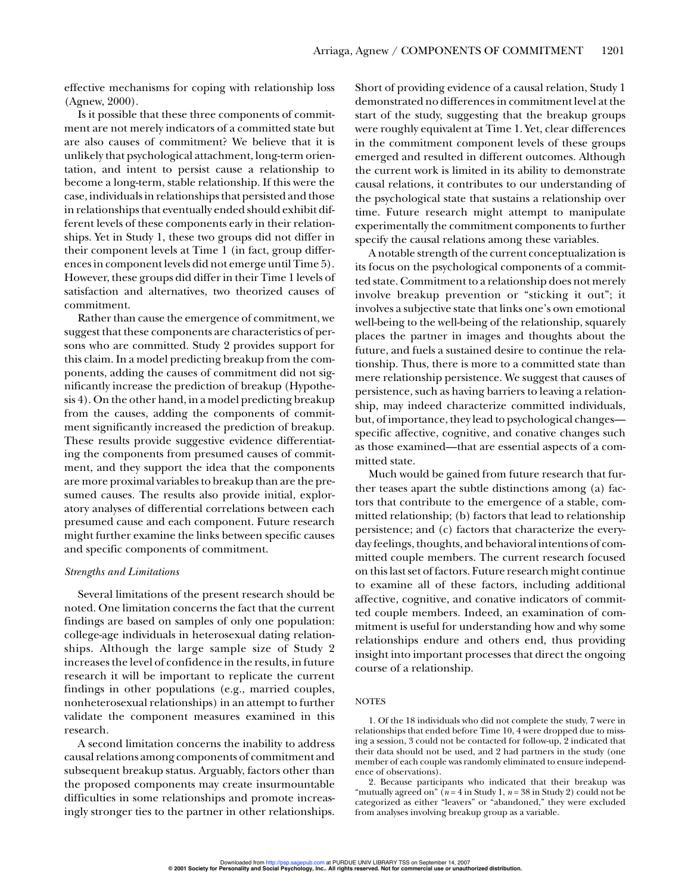effective mechanisms for coping with relationship loss (Agnew, 2000).

Is it possible that these three components of commitment are not merely indicators of a committed state but are also causes of commitment? We believe that it is unlikely that psychological attachment, long-term orientation, and intent to persist cause a relationship to become a long-term, stable relationship. If this were the case, individuals in relationships that persisted and those in relationships that eventually ended should exhibit different levels of these components early in their relationships. Yet in Study 1, these two groups did not differ in their component levels at Time 1 (in fact, group differences in component levels did not emerge until Time 5). However, these groups did differ in their Time 1 levels of satisfaction and alternatives, two theorized causes of commitment.

Rather than cause the emergence of commitment, we suggest that these components are characteristics of persons who are committed. Study 2 provides support for this claim. In a model predicting breakup from the components, adding the causes of commitment did not significantly increase the prediction of breakup (Hypothesis 4). On the other hand, in a model predicting breakup from the causes, adding the components of commitment significantly increased the prediction of breakup. These results provide suggestive evidence differentiating the components from presumed causes of commitment, and they support the idea that the components are more proximal variables to breakup than are the presumed causes. The results also provide initial, exploratory analyses of differential correlations between each presumed cause and each component. Future research might further examine the links between specific causes and specific components of commitment.

#### *Strengths and Limitations*

Several limitations of the present research should be noted. One limitation concerns the fact that the current findings are based on samples of only one population: college-age individuals in heterosexual dating relationships. Although the large sample size of Study 2 increases the level of confidence in the results, in future research it will be important to replicate the current findings in other populations (e.g., married couples, nonheterosexual relationships) in an attempt to further validate the component measures examined in this research.

A second limitation concerns the inability to address causal relations among components of commitment and subsequent breakup status. Arguably, factors other than the proposed components may create insurmountable difficulties in some relationships and promote increasingly stronger ties to the partner in other relationships. Short of providing evidence of a causal relation, Study 1 demonstrated no differences in commitment level at the start of the study, suggesting that the breakup groups were roughly equivalent at Time 1. Yet, clear differences in the commitment component levels of these groups emerged and resulted in different outcomes. Although the current work is limited in its ability to demonstrate causal relations, it contributes to our understanding of the psychological state that sustains a relationship over time. Future research might attempt to manipulate experimentally the commitment components to further specify the causal relations among these variables.

A notable strength of the current conceptualization is its focus on the psychological components of a committed state. Commitment to a relationship does not merely involve breakup prevention or "sticking it out"; it involves a subjective state that links one's own emotional well-being to the well-being of the relationship, squarely places the partner in images and thoughts about the future, and fuels a sustained desire to continue the relationship. Thus, there is more to a committed state than mere relationship persistence. We suggest that causes of persistence, such as having barriers to leaving a relationship, may indeed characterize committed individuals, but, of importance, they lead to psychological changes specific affective, cognitive, and conative changes such as those examined—that are essential aspects of a committed state.

Much would be gained from future research that further teases apart the subtle distinctions among (a) factors that contribute to the emergence of a stable, committed relationship; (b) factors that lead to relationship persistence; and (c) factors that characterize the everyday feelings, thoughts, and behavioral intentions of committed couple members. The current research focused on this last set of factors. Future research might continue to examine all of these factors, including additional affective, cognitive, and conative indicators of committed couple members. Indeed, an examination of commitment is useful for understanding how and why some relationships endure and others end, thus providing insight into important processes that direct the ongoing course of a relationship.

#### **NOTES**

1. Of the 18 individuals who did not complete the study, 7 were in relationships that ended before Time 10, 4 were dropped due to missing a session, 3 could not be contacted for follow-up, 2 indicated that their data should not be used, and 2 had partners in the study (one member of each couple was randomly eliminated to ensure independence of observations).

2. Because participants who indicated that their breakup was "mutually agreed on" ( $n = 4$  in Study 1,  $n = 38$  in Study 2) could not be categorized as either "leavers" or "abandoned," they were excluded from analyses involving breakup group as a variable.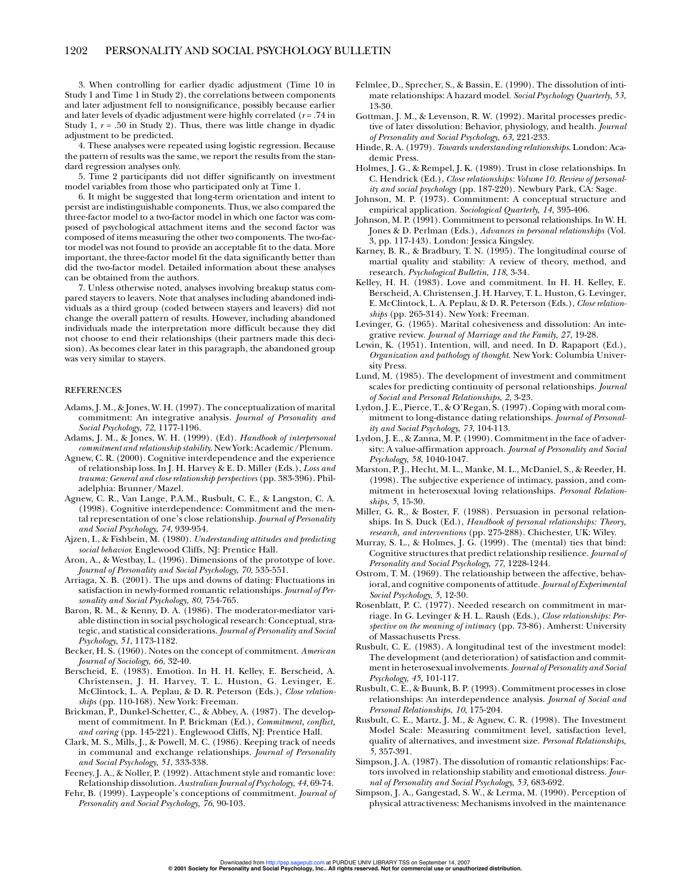3. When controlling for earlier dyadic adjustment (Time 10 in Study 1 and Time 1 in Study 2), the correlations between components and later adjustment fell to nonsignificance, possibly because earlier and later levels of dyadic adjustment were highly correlated ( $r = .74$  in Study 1,  $r = .50$  in Study 2). Thus, there was little change in dyadic adjustment to be predicted.

4. These analyses were repeated using logistic regression. Because the pattern of results was the same, we report the results from the standard regression analyses only.

5. Time 2 participants did not differ significantly on investment model variables from those who participated only at Time 1.

6. It might be suggested that long-term orientation and intent to persist are indistinguishable components. Thus, we also compared the three-factor model to a two-factor model in which one factor was composed of psychological attachment items and the second factor was composed of items measuring the other two components. The two-factor model was not found to provide an acceptable fit to the data. More important, the three-factor model fit the data significantly better than did the two-factor model. Detailed information about these analyses can be obtained from the authors.

7. Unless otherwise noted, analyses involving breakup status compared stayers to leavers. Note that analyses including abandoned individuals as a third group (coded between stayers and leavers) did not change the overall pattern of results. However, including abandoned individuals made the interpretation more difficult because they did not choose to end their relationships (their partners made this decision). As becomes clear later in this paragraph, the abandoned group was very similar to stayers.

#### REFERENCES

- Adams, J. M., & Jones, W. H. (1997). The conceptualization of marital commitment: An integrative analysis. *Journal of Personality and Social Psychology*, *72*, 1177-1196.
- Adams, J. M., & Jones, W. H. (1999). (Ed). *Handbook of interpersonal commitment and relationship stability*. New York: Academic/Plenum.
- Agnew, C. R. (2000). Cognitive interdependence and the experience of relationship loss. In J. H. Harvey & E. D. Miller (Eds.), *Loss and trauma: General and close relationship perspectives* (pp. 383-396). Philadelphia: Brunner/Mazel.
- Agnew, C. R., Van Lange, P.A.M., Rusbult, C. E., & Langston, C. A. (1998). Cognitive interdependence: Commitment and the mental representation of one's close relationship. *Journal of Personality and Social Psychology*, *74*, 939-954.
- Ajzen, I., & Fishbein, M. (1980). *Understanding attitudes and predicting social behavior*. Englewood Cliffs, NJ: Prentice Hall.
- Aron, A., & Westbay, L. (1996). Dimensions of the prototype of love. *Journal of Personality and Social Psychology*, *70*, 535-551.
- Arriaga, X. B. (2001). The ups and downs of dating: Fluctuations in satisfaction in newly-formed romantic relationships. *Journal of Personality and Social Psychology*, *80*, 754-765.
- Baron, R. M., & Kenny, D. A. (1986). The moderator-mediator variable distinction in social psychological research: Conceptual, strategic, and statistical considerations. *Journal of Personality and Social Psychology*, *51*, 1173-1182.
- Becker, H. S. (1960). Notes on the concept of commitment. *American Journal of Sociology*, *66*, 32-40.
- Berscheid, E. (1983). Emotion. In H. H. Kelley, E. Berscheid, A. Christensen, J. H. Harvey, T. L. Huston, G. Levinger, E. McClintock, L. A. Peplau, & D. R. Peterson (Eds.), *Close relationships* (pp. 110-168). New York: Freeman.
- Brickman, P., Dunkel-Schetter, C., & Abbey, A. (1987). The development of commitment. In P. Brickman (Ed.), *Commitment, conflict, and caring* (pp. 145-221). Englewood Cliffs, NJ: Prentice Hall.
- Clark, M. S., Mills, J., & Powell, M. C. (1986). Keeping track of needs in communal and exchange relationships. *Journal of Personality and Social Psychology*, *51*, 333-338.
- Feeney, J. A., & Noller, P. (1992). Attachment style and romantic love: Relationship dissolution. *Australian Journal of Psychology*, *44*, 69-74.
- Fehr, B. (1999). Laypeople's conceptions of commitment. *Journal of Personality and Social Psychology*, *76*, 90-103.
- Felmlee, D., Sprecher, S., & Bassin, E. (1990). The dissolution of intimate relationships: A hazard model. *Social Psychology Quarterly*, *53*, 13-30.
- Gottman, J. M., & Levenson, R. W. (1992). Marital processes predictive of later dissolution: Behavior, physiology, and health. *Journal of Personality and Social Psychology*, *63*, 221-233.
- Hinde, R. A. (1979). *Towards understanding relationships*. London: Academic Press.
- Holmes, J. G., & Rempel, J. K. (1989). Trust in close relationships. In C. Hendrick (Ed.), *Close relationships: Volume 10. Review of personality and social psychology* (pp. 187-220). Newbury Park, CA: Sage.
- Johnson, M. P. (1973). Commitment: A conceptual structure and empirical application. *Sociological Quarterly*, *14*, 395-406.
- Johnson, M. P. (1991). Commitment to personal relationships. In W. H. Jones & D. Perlman (Eds.), *Advances in personal relationships* (Vol. 3, pp. 117-143). London: Jessica Kingsley.
- Karney, B. R., & Bradbury, T. N. (1995). The longitudinal course of martial quality and stability: A review of theory, method, and research. *Psychological Bulletin*, *118*, 3-34.
- Kelley, H. H. (1983). Love and commitment. In H. H. Kelley, E. Berscheid, A. Christensen, J. H. Harvey, T. L. Huston, G. Levinger, E. McClintock, L. A. Peplau, & D. R. Peterson (Eds.), *Close relationships* (pp. 265-314). New York: Freeman.
- Levinger, G. (1965). Marital cohesiveness and dissolution: An integrative review. *Journal of Marriage and the Family*, *27*, 19-28.
- Lewin, K. (1951). Intention, will, and need. In D. Rapaport (Ed.), *Organization and pathology of thought*. New York: Columbia University Press.
- Lund, M. (1985). The development of investment and commitment scales for predicting continuity of personal relationships. *Journal of Social and Personal Relationships*, *2*, 3-23.
- Lydon, J. E., Pierce, T., & O'Regan, S. (1997). Coping with moral commitment to long-distance dating relationships. *Journal of Personality and Social Psychology*, *73*, 104-113.
- Lydon, J. E., & Zanna, M. P. (1990). Commitment in the face of adversity: A value-affirmation approach. *Journal of Personality and Social Psychology*, *58*, 1040-1047.
- Marston, P. J., Hecht, M. L., Manke, M. L., McDaniel, S., & Reeder, H. (1998). The subjective experience of intimacy, passion, and commitment in heterosexual loving relationships. *Personal Relationships*, *5*, 15-30.
- Miller, G. R., & Boster, F. (1988). Persuasion in personal relationships. In S. Duck (Ed.), *Handbook of personal relationships: Theory, research, and interventions* (pp. 275-288). Chichester, UK: Wiley.
- Murray, S. L., & Holmes, J. G. (1999). The (mental) ties that bind: Cognitive structures that predict relationship resilience. *Journal of Personality and Social Psychology*, *77*, 1228-1244.
- Ostrom, T. M. (1969). The relationship between the affective, behavioral, and cognitive components of attitude. *Journal of Experimental Social Psychology*, *5*, 12-30.
- Rosenblatt, P. C. (1977). Needed research on commitment in marriage. In G. Levinger & H. L. Raush (Eds.), *Close relationships: Perspective on the meaning of intimacy* (pp. 73-86). Amherst: University of Massachusetts Press.
- Rusbult, C. E. (1983). A longitudinal test of the investment model: The development (and deterioration) of satisfaction and commitment in heterosexual involvements. *Journal of Personality and Social Psychology*, *45*, 101-117.
- Rusbult, C. E., & Buunk, B. P. (1993). Commitment processes in close relationships: An interdependence analysis. *Journal of Social and Personal Relationships*, *10*, 175-204.
- Rusbult, C. E., Martz, J. M., & Agnew, C. R. (1998). The Investment Model Scale: Measuring commitment level, satisfaction level, quality of alternatives, and investment size. *Personal Relationships*, *5*, 357-391.
- Simpson, J. A. (1987). The dissolution of romantic relationships: Factors involved in relationship stability and emotional distress. *Journal of Personality and Social Psychology*, *53*, 683-692.
- Simpson, J. A., Gangestad, S. W., & Lerma, M. (1990). Perception of physical attractiveness: Mechanisms involved in the maintenance